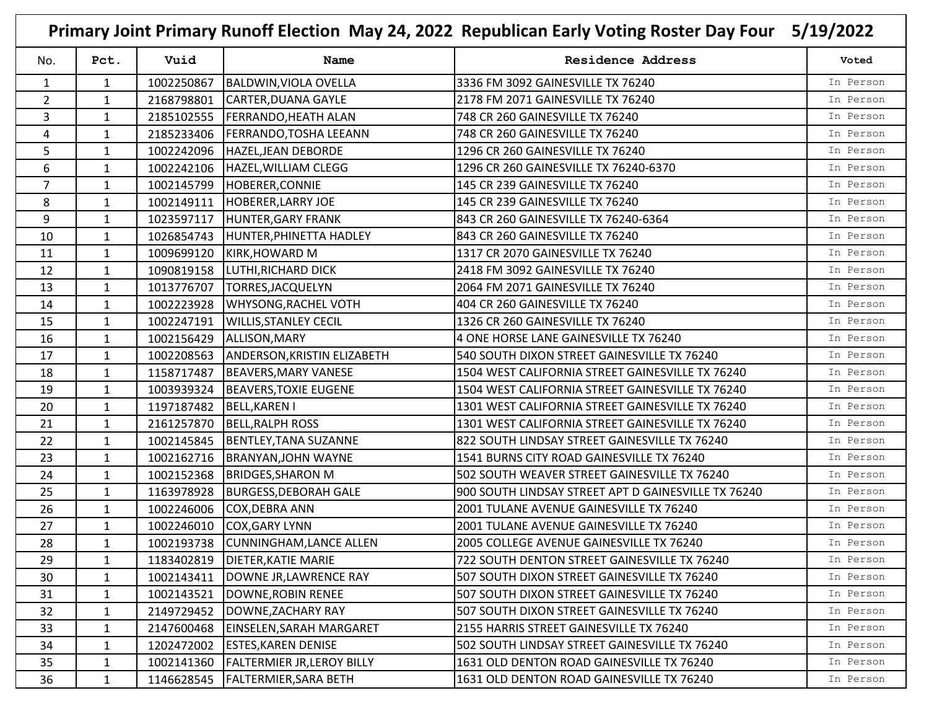|                |              |            |                                    | Primary Joint Primary Runoff Election May 24, 2022 Republican Early Voting Roster Day Four 5/19/2022 |           |
|----------------|--------------|------------|------------------------------------|------------------------------------------------------------------------------------------------------|-----------|
| No.            | Pct.         | Vuid       | Name                               | <b>Residence Address</b>                                                                             | Voted     |
| 1              | 1            | 1002250867 | <b>BALDWIN, VIOLA OVELLA</b>       | 3336 FM 3092 GAINESVILLE TX 76240                                                                    | In Person |
| $\overline{2}$ | $\mathbf{1}$ | 2168798801 | CARTER, DUANA GAYLE                | 2178 FM 2071 GAINESVILLE TX 76240                                                                    | In Person |
| 3              | 1            | 2185102555 | <b>FERRANDO, HEATH ALAN</b>        | 748 CR 260 GAINESVILLE TX 76240                                                                      | In Person |
| 4              | 1            | 2185233406 | <b>FERRANDO, TOSHA LEEANN</b>      | 748 CR 260 GAINESVILLE TX 76240                                                                      | In Person |
| 5              | 1            | 1002242096 | HAZEL, JEAN DEBORDE                | 1296 CR 260 GAINESVILLE TX 76240                                                                     | In Person |
| 6              | $\mathbf{1}$ | 1002242106 | HAZEL, WILLIAM CLEGG               | 1296 CR 260 GAINESVILLE TX 76240-6370                                                                | In Person |
| $\overline{7}$ | 1            | 1002145799 | HOBERER, CONNIE                    | 145 CR 239 GAINESVILLE TX 76240                                                                      | In Person |
| 8              | 1            | 1002149111 | <b>HOBERER, LARRY JOE</b>          | 145 CR 239 GAINESVILLE TX 76240                                                                      | In Person |
| 9              | $\mathbf{1}$ |            | 1023597117  HUNTER, GARY FRANK     | 843 CR 260 GAINESVILLE TX 76240-6364                                                                 | In Person |
| 10             | 1            | 1026854743 | HUNTER, PHINETTA HADLEY            | 843 CR 260 GAINESVILLE TX 76240                                                                      | In Person |
| 11             | 1            | 1009699120 | <b>KIRK, HOWARD M</b>              | 1317 CR 2070 GAINESVILLE TX 76240                                                                    | In Person |
| 12             | 1            | 1090819158 | LUTHI, RICHARD DICK                | 2418 FM 3092 GAINESVILLE TX 76240                                                                    | In Person |
| 13             | $\mathbf{1}$ | 1013776707 | TORRES, JACQUELYN                  | 2064 FM 2071 GAINESVILLE TX 76240                                                                    | In Person |
| 14             | $\mathbf{1}$ | 1002223928 | <b>WHYSONG, RACHEL VOTH</b>        | 404 CR 260 GAINESVILLE TX 76240                                                                      | In Person |
| 15             | $\mathbf{1}$ | 1002247191 | <b>WILLIS, STANLEY CECIL</b>       | 1326 CR 260 GAINESVILLE TX 76240                                                                     | In Person |
| 16             | 1            | 1002156429 | ALLISON, MARY                      | 4 ONE HORSE LANE GAINESVILLE TX 76240                                                                | In Person |
| 17             | 1            | 1002208563 | <b>ANDERSON, KRISTIN ELIZABETH</b> | 540 SOUTH DIXON STREET GAINESVILLE TX 76240                                                          | In Person |
| 18             | $\mathbf{1}$ | 1158717487 | <b>BEAVERS, MARY VANESE</b>        | 1504 WEST CALIFORNIA STREET GAINESVILLE TX 76240                                                     | In Person |
| 19             | 1            | 1003939324 | <b>BEAVERS, TOXIE EUGENE</b>       | 1504 WEST CALIFORNIA STREET GAINESVILLE TX 76240                                                     | In Person |
| 20             | $\mathbf{1}$ | 1197187482 | <b>BELL, KAREN I</b>               | 1301 WEST CALIFORNIA STREET GAINESVILLE TX 76240                                                     | In Person |
| 21             | $\mathbf{1}$ | 2161257870 | <b>BELL, RALPH ROSS</b>            | 1301 WEST CALIFORNIA STREET GAINESVILLE TX 76240                                                     | In Person |
| 22             | 1            | 1002145845 | <b>BENTLEY, TANA SUZANNE</b>       | 822 SOUTH LINDSAY STREET GAINESVILLE TX 76240                                                        | In Person |
| 23             | 1            | 1002162716 | <b>BRANYAN, JOHN WAYNE</b>         | 1541 BURNS CITY ROAD GAINESVILLE TX 76240                                                            | In Person |
| 24             | 1            | 1002152368 | <b>BRIDGES, SHARON M</b>           | 502 SOUTH WEAVER STREET GAINESVILLE TX 76240                                                         | In Person |
| 25             | 1            | 1163978928 | <b>BURGESS, DEBORAH GALE</b>       | 900 SOUTH LINDSAY STREET APT D GAINESVILLE TX 76240                                                  | In Person |
| 26             | 1            | 1002246006 | COX, DEBRA ANN                     | 2001 TULANE AVENUE GAINESVILLE TX 76240                                                              | In Person |
| 27             | $\mathbf{1}$ | 1002246010 | <b>COX, GARY LYNN</b>              | 2001 TULANE AVENUE GAINESVILLE TX 76240                                                              | In Person |
| 28             | $\mathbf{1}$ |            | 1002193738 CUNNINGHAM, LANCE ALLEN | 2005 COLLEGE AVENUE GAINESVILLE TX 76240                                                             | In Person |
| 29             | 1            | 1183402819 | DIETER, KATIE MARIE                | 722 SOUTH DENTON STREET GAINESVILLE TX 76240                                                         | In Person |
| 30             | $\mathbf{1}$ | 1002143411 | DOWNE JR, LAWRENCE RAY             | 507 SOUTH DIXON STREET GAINESVILLE TX 76240                                                          | In Person |
| 31             | $\mathbf{1}$ | 1002143521 | DOWNE, ROBIN RENEE                 | 507 SOUTH DIXON STREET GAINESVILLE TX 76240                                                          | In Person |
| 32             | $\mathbf{1}$ | 2149729452 | DOWNE, ZACHARY RAY                 | 507 SOUTH DIXON STREET GAINESVILLE TX 76240                                                          | In Person |
| 33             | $\mathbf{1}$ | 2147600468 | <b>EINSELEN, SARAH MARGARET</b>    | 2155 HARRIS STREET GAINESVILLE TX 76240                                                              | In Person |
| 34             | $\mathbf{1}$ | 1202472002 | <b>ESTES, KAREN DENISE</b>         | 502 SOUTH LINDSAY STREET GAINESVILLE TX 76240                                                        | In Person |
| 35             | $\mathbf{1}$ | 1002141360 | <b>FALTERMIER JR, LEROY BILLY</b>  | 1631 OLD DENTON ROAD GAINESVILLE TX 76240                                                            | In Person |
| 36             | $\mathbf{1}$ | 1146628545 | <b>FALTERMIER, SARA BETH</b>       | 1631 OLD DENTON ROAD GAINESVILLE TX 76240                                                            | In Person |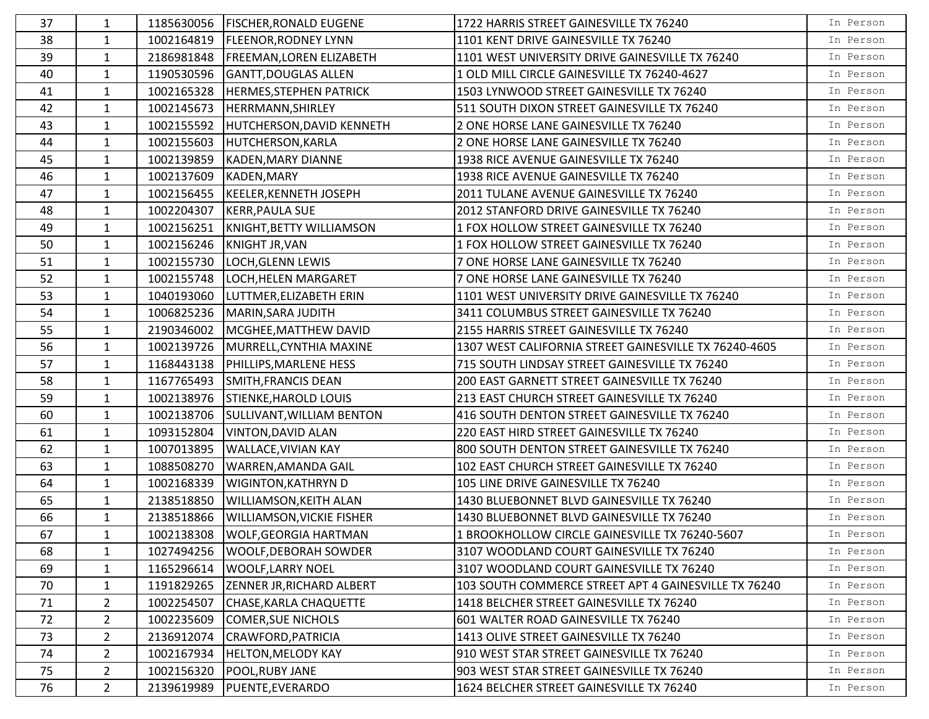| 37 | $\mathbf{1}$   |            | 1185630056   FISCHER, RONALD EUGENE | 1722 HARRIS STREET GAINESVILLE TX 76240               | In Person |
|----|----------------|------------|-------------------------------------|-------------------------------------------------------|-----------|
| 38 | $\mathbf{1}$   |            | 1002164819   FLEENOR, RODNEY LYNN   | 1101 KENT DRIVE GAINESVILLE TX 76240                  | In Person |
| 39 | $\mathbf{1}$   | 2186981848 | <b>FREEMAN, LOREN ELIZABETH</b>     | 1101 WEST UNIVERSITY DRIVE GAINESVILLE TX 76240       | In Person |
| 40 | $\mathbf{1}$   | 1190530596 | <b>GANTT, DOUGLAS ALLEN</b>         | 1 OLD MILL CIRCLE GAINESVILLE TX 76240-4627           | In Person |
| 41 | $\mathbf{1}$   | 1002165328 | <b>HERMES, STEPHEN PATRICK</b>      | 1503 LYNWOOD STREET GAINESVILLE TX 76240              | In Person |
| 42 | $\mathbf{1}$   | 1002145673 | HERRMANN, SHIRLEY                   | 511 SOUTH DIXON STREET GAINESVILLE TX 76240           | In Person |
| 43 | $\mathbf{1}$   | 1002155592 | <b>HUTCHERSON, DAVID KENNETH</b>    | 2 ONE HORSE LANE GAINESVILLE TX 76240                 | In Person |
| 44 | 1              | 1002155603 | <b>HUTCHERSON, KARLA</b>            | 2 ONE HORSE LANE GAINESVILLE TX 76240                 | In Person |
| 45 | $\mathbf{1}$   | 1002139859 | <b>KADEN, MARY DIANNE</b>           | 1938 RICE AVENUE GAINESVILLE TX 76240                 | In Person |
| 46 | $\mathbf{1}$   | 1002137609 | <b>KADEN, MARY</b>                  | 1938 RICE AVENUE GAINESVILLE TX 76240                 | In Person |
| 47 | $\mathbf{1}$   |            | 1002156455  KEELER, KENNETH JOSEPH  | 2011 TULANE AVENUE GAINESVILLE TX 76240               | In Person |
| 48 | $\mathbf{1}$   | 1002204307 | KERR, PAULA SUE                     | 2012 STANFORD DRIVE GAINESVILLE TX 76240              | In Person |
| 49 | $\mathbf{1}$   | 1002156251 | KNIGHT, BETTY WILLIAMSON            | 1 FOX HOLLOW STREET GAINESVILLE TX 76240              | In Person |
| 50 | $\mathbf{1}$   | 1002156246 | <b>KNIGHT JR, VAN</b>               | 1 FOX HOLLOW STREET GAINESVILLE TX 76240              | In Person |
| 51 | $\mathbf{1}$   | 1002155730 | LOCH, GLENN LEWIS                   | 7 ONE HORSE LANE GAINESVILLE TX 76240                 | In Person |
| 52 | $\mathbf{1}$   | 1002155748 | LOCH, HELEN MARGARET                | 7 ONE HORSE LANE GAINESVILLE TX 76240                 | In Person |
| 53 | $\mathbf{1}$   | 1040193060 | LUTTMER, ELIZABETH ERIN             | 1101 WEST UNIVERSITY DRIVE GAINESVILLE TX 76240       | In Person |
| 54 | $\mathbf{1}$   | 1006825236 | MARIN, SARA JUDITH                  | 3411 COLUMBUS STREET GAINESVILLE TX 76240             | In Person |
| 55 | $\mathbf{1}$   | 2190346002 | MCGHEE, MATTHEW DAVID               | 2155 HARRIS STREET GAINESVILLE TX 76240               | In Person |
| 56 | $\mathbf{1}$   | 1002139726 | MURRELL, CYNTHIA MAXINE             | 1307 WEST CALIFORNIA STREET GAINESVILLE TX 76240-4605 | In Person |
| 57 | $\mathbf{1}$   | 1168443138 | PHILLIPS, MARLENE HESS              | 715 SOUTH LINDSAY STREET GAINESVILLE TX 76240         | In Person |
| 58 | $\mathbf{1}$   | 1167765493 | SMITH, FRANCIS DEAN                 | 200 EAST GARNETT STREET GAINESVILLE TX 76240          | In Person |
| 59 | $\mathbf{1}$   | 1002138976 | <b>STIENKE, HAROLD LOUIS</b>        | 213 EAST CHURCH STREET GAINESVILLE TX 76240           | In Person |
| 60 | $\mathbf{1}$   | 1002138706 | SULLIVANT, WILLIAM BENTON           | 416 SOUTH DENTON STREET GAINESVILLE TX 76240          | In Person |
| 61 | $\mathbf{1}$   | 1093152804 | <b>VINTON, DAVID ALAN</b>           | 220 EAST HIRD STREET GAINESVILLE TX 76240             | In Person |
| 62 | $\mathbf{1}$   | 1007013895 | <b>WALLACE, VIVIAN KAY</b>          | 800 SOUTH DENTON STREET GAINESVILLE TX 76240          | In Person |
| 63 | $\mathbf{1}$   | 1088508270 | WARREN, AMANDA GAIL                 | 102 EAST CHURCH STREET GAINESVILLE TX 76240           | In Person |
| 64 | $\mathbf{1}$   | 1002168339 | <b>WIGINTON, KATHRYN D</b>          | 105 LINE DRIVE GAINESVILLE TX 76240                   | In Person |
| 65 | $\mathbf{1}$   | 2138518850 | <b>WILLIAMSON, KEITH ALAN</b>       | 1430 BLUEBONNET BLVD GAINESVILLE TX 76240             | In Person |
| 66 | $\mathbf{1}$   | 2138518866 | <b>WILLIAMSON, VICKIE FISHER</b>    | 1430 BLUEBONNET BLVD GAINESVILLE TX 76240             | In Person |
| 67 | $\mathbf{1}$   |            | 1002138308   WOLF, GEORGIA HARTMAN  | 1 BROOKHOLLOW CIRCLE GAINESVILLE TX 76240-5607        | In Person |
| 68 | $\mathbf{1}$   | 1027494256 | <b>WOOLF, DEBORAH SOWDER</b>        | 3107 WOODLAND COURT GAINESVILLE TX 76240              | In Person |
| 69 | 1              | 1165296614 | <b>WOOLF, LARRY NOEL</b>            | 3107 WOODLAND COURT GAINESVILLE TX 76240              | In Person |
| 70 | $\mathbf{1}$   | 1191829265 | <b>ZENNER JR, RICHARD ALBERT</b>    | 103 SOUTH COMMERCE STREET APT 4 GAINESVILLE TX 76240  | In Person |
| 71 | $\overline{2}$ | 1002254507 | CHASE, KARLA CHAQUETTE              | 1418 BELCHER STREET GAINESVILLE TX 76240              | In Person |
| 72 | $\overline{2}$ | 1002235609 | <b>COMER, SUE NICHOLS</b>           | 601 WALTER ROAD GAINESVILLE TX 76240                  | In Person |
| 73 | $\overline{2}$ | 2136912074 | CRAWFORD, PATRICIA                  | 1413 OLIVE STREET GAINESVILLE TX 76240                | In Person |
| 74 | $\overline{2}$ | 1002167934 | <b>HELTON, MELODY KAY</b>           | 910 WEST STAR STREET GAINESVILLE TX 76240             | In Person |
| 75 | $\overline{2}$ | 1002156320 | POOL, RUBY JANE                     | 903 WEST STAR STREET GAINESVILLE TX 76240             | In Person |
| 76 | 2 <sup>1</sup> | 2139619989 | PUENTE, EVERARDO                    | 1624 BELCHER STREET GAINESVILLE TX 76240              | In Person |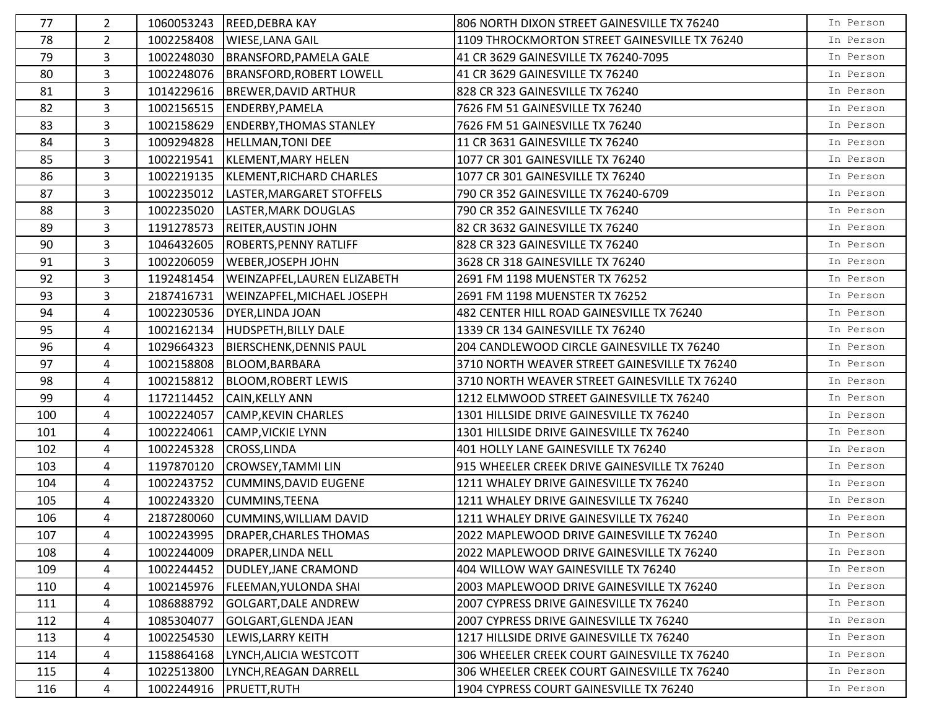| 77  | $\overline{2}$ |            | 1060053243 REED, DEBRA KAY          | 806 NORTH DIXON STREET GAINESVILLE TX 76240   | In Person |
|-----|----------------|------------|-------------------------------------|-----------------------------------------------|-----------|
| 78  | $\overline{2}$ | 1002258408 | <b>WIESE, LANA GAIL</b>             | 1109 THROCKMORTON STREET GAINESVILLE TX 76240 | In Person |
| 79  | 3              | 1002248030 | <b>BRANSFORD, PAMELA GALE</b>       | 41 CR 3629 GAINESVILLE TX 76240-7095          | In Person |
| 80  | $\mathbf{3}$   | 1002248076 | <b>BRANSFORD, ROBERT LOWELL</b>     | 41 CR 3629 GAINESVILLE TX 76240               | In Person |
| 81  | 3              | 1014229616 | <b>BREWER, DAVID ARTHUR</b>         | 828 CR 323 GAINESVILLE TX 76240               | In Person |
| 82  | 3              | 1002156515 | <b>ENDERBY, PAMELA</b>              | 7626 FM 51 GAINESVILLE TX 76240               | In Person |
| 83  | $\overline{3}$ | 1002158629 | <b>ENDERBY, THOMAS STANLEY</b>      | 7626 FM 51 GAINESVILLE TX 76240               | In Person |
| 84  | 3              | 1009294828 | <b>HELLMAN, TONI DEE</b>            | 11 CR 3631 GAINESVILLE TX 76240               | In Person |
| 85  | 3              | 1002219541 | KLEMENT, MARY HELEN                 | 1077 CR 301 GAINESVILLE TX 76240              | In Person |
| 86  | 3              | 1002219135 | KLEMENT, RICHARD CHARLES            | 1077 CR 301 GAINESVILLE TX 76240              | In Person |
| 87  | 3              | 1002235012 | LASTER, MARGARET STOFFELS           | 790 CR 352 GAINESVILLE TX 76240-6709          | In Person |
| 88  | $\overline{3}$ | 1002235020 | LASTER, MARK DOUGLAS                | 790 CR 352 GAINESVILLE TX 76240               | In Person |
| 89  | 3              | 1191278573 | <b>REITER, AUSTIN JOHN</b>          | 82 CR 3632 GAINESVILLE TX 76240               | In Person |
| 90  | $\overline{3}$ | 1046432605 | <b>ROBERTS, PENNY RATLIFF</b>       | 828 CR 323 GAINESVILLE TX 76240               | In Person |
| 91  | $\overline{3}$ | 1002206059 | <b>WEBER, JOSEPH JOHN</b>           | 3628 CR 318 GAINESVILLE TX 76240              | In Person |
| 92  | $\mathbf{3}$   | 1192481454 | WEINZAPFEL, LAUREN ELIZABETH        | 2691 FM 1198 MUENSTER TX 76252                | In Person |
| 93  | 3              | 2187416731 | <b>WEINZAPFEL, MICHAEL JOSEPH</b>   | 2691 FM 1198 MUENSTER TX 76252                | In Person |
| 94  | 4              | 1002230536 | DYER, LINDA JOAN                    | 482 CENTER HILL ROAD GAINESVILLE TX 76240     | In Person |
| 95  | 4              | 1002162134 | HUDSPETH, BILLY DALE                | 1339 CR 134 GAINESVILLE TX 76240              | In Person |
| 96  | 4              | 1029664323 | <b>BIERSCHENK, DENNIS PAUL</b>      | 204 CANDLEWOOD CIRCLE GAINESVILLE TX 76240    | In Person |
| 97  | 4              | 1002158808 | BLOOM, BARBARA                      | 3710 NORTH WEAVER STREET GAINESVILLE TX 76240 | In Person |
| 98  | 4              | 1002158812 | <b>BLOOM, ROBERT LEWIS</b>          | 3710 NORTH WEAVER STREET GAINESVILLE TX 76240 | In Person |
| 99  | 4              | 1172114452 | <b>CAIN, KELLY ANN</b>              | 1212 ELMWOOD STREET GAINESVILLE TX 76240      | In Person |
| 100 | 4              | 1002224057 | <b>CAMP, KEVIN CHARLES</b>          | 1301 HILLSIDE DRIVE GAINESVILLE TX 76240      | In Person |
| 101 | 4              | 1002224061 | <b>CAMP, VICKIE LYNN</b>            | 1301 HILLSIDE DRIVE GAINESVILLE TX 76240      | In Person |
| 102 | 4              |            | 1002245328 CROSS, LINDA             | 401 HOLLY LANE GAINESVILLE TX 76240           | In Person |
| 103 | 4              | 1197870120 | <b>CROWSEY, TAMMILIN</b>            | 915 WHEELER CREEK DRIVE GAINESVILLE TX 76240  | In Person |
| 104 | 4              | 1002243752 | <b>CUMMINS, DAVID EUGENE</b>        | 1211 WHALEY DRIVE GAINESVILLE TX 76240        | In Person |
| 105 | 4              | 1002243320 | <b>CUMMINS, TEENA</b>               | 1211 WHALEY DRIVE GAINESVILLE TX 76240        | In Person |
| 106 | 4              | 2187280060 | <b>CUMMINS, WILLIAM DAVID</b>       | 1211 WHALEY DRIVE GAINESVILLE TX 76240        | In Person |
| 107 | 4              |            | 1002243995   DRAPER, CHARLES THOMAS | 2022 MAPLEWOOD DRIVE GAINESVILLE TX 76240     | In Person |
| 108 | 4              | 1002244009 | <b>DRAPER, LINDA NELL</b>           | 2022 MAPLEWOOD DRIVE GAINESVILLE TX 76240     | In Person |
| 109 | 4              | 1002244452 | DUDLEY, JANE CRAMOND                | 404 WILLOW WAY GAINESVILLE TX 76240           | In Person |
| 110 | 4              | 1002145976 | <b>FLEEMAN, YULONDA SHAI</b>        | 2003 MAPLEWOOD DRIVE GAINESVILLE TX 76240     | In Person |
| 111 | 4              | 1086888792 | <b>GOLGART, DALE ANDREW</b>         | 2007 CYPRESS DRIVE GAINESVILLE TX 76240       | In Person |
| 112 | 4              | 1085304077 | GOLGART, GLENDA JEAN                | 2007 CYPRESS DRIVE GAINESVILLE TX 76240       | In Person |
| 113 | 4              | 1002254530 | LEWIS, LARRY KEITH                  | 1217 HILLSIDE DRIVE GAINESVILLE TX 76240      | In Person |
| 114 | 4              | 1158864168 | LYNCH, ALICIA WESTCOTT              | 306 WHEELER CREEK COURT GAINESVILLE TX 76240  | In Person |
| 115 | 4              | 1022513800 | LYNCH, REAGAN DARRELL               | 306 WHEELER CREEK COURT GAINESVILLE TX 76240  | In Person |
| 116 | 4              |            | 1002244916   PRUETT, RUTH           | 1904 CYPRESS COURT GAINESVILLE TX 76240       | In Person |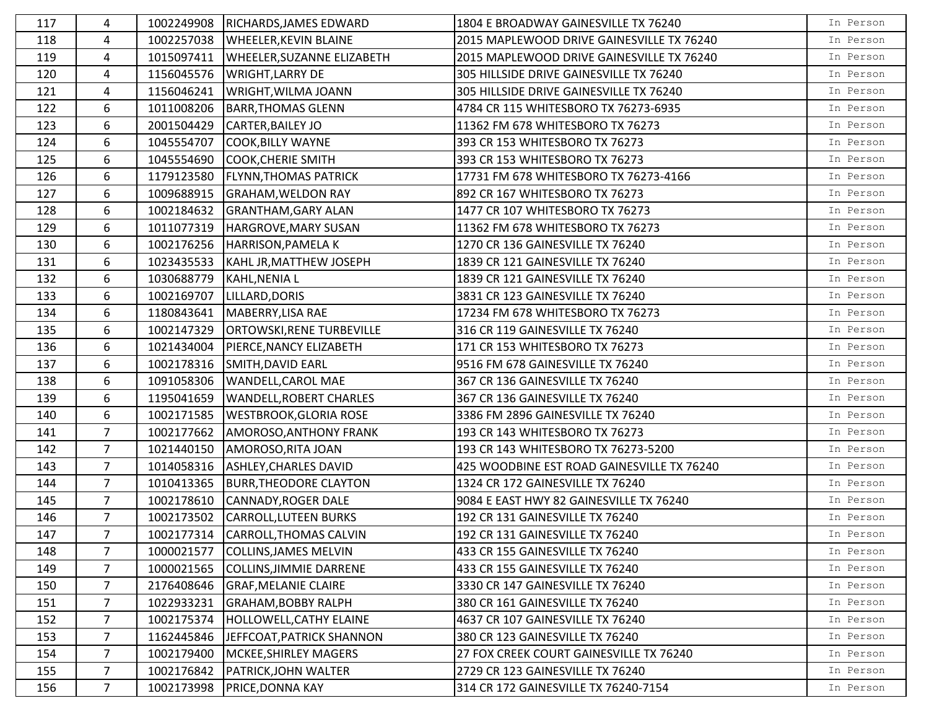| 117 | 4              | 1002249908 | RICHARDS, JAMES EDWARD            | 1804 E BROADWAY GAINESVILLE TX 76240       | In Person |
|-----|----------------|------------|-----------------------------------|--------------------------------------------|-----------|
| 118 | 4              | 1002257038 | WHEELER, KEVIN BLAINE             | 2015 MAPLEWOOD DRIVE GAINESVILLE TX 76240  | In Person |
| 119 | 4              | 1015097411 | WHEELER, SUZANNE ELIZABETH        | 2015 MAPLEWOOD DRIVE GAINESVILLE TX 76240  | In Person |
| 120 | 4              | 1156045576 | <b>WRIGHT, LARRY DE</b>           | 305 HILLSIDE DRIVE GAINESVILLE TX 76240    | In Person |
| 121 | 4              | 1156046241 | WRIGHT, WILMA JOANN               | 305 HILLSIDE DRIVE GAINESVILLE TX 76240    | In Person |
| 122 | 6              | 1011008206 | <b>BARR, THOMAS GLENN</b>         | 4784 CR 115 WHITESBORO TX 76273-6935       | In Person |
| 123 | 6              | 2001504429 | <b>CARTER, BAILEY JO</b>          | 11362 FM 678 WHITESBORO TX 76273           | In Person |
| 124 | 6              | 1045554707 | <b>COOK, BILLY WAYNE</b>          | 393 CR 153 WHITESBORO TX 76273             | In Person |
| 125 | 6              | 1045554690 | <b>COOK, CHERIE SMITH</b>         | 393 CR 153 WHITESBORO TX 76273             | In Person |
| 126 | 6              | 1179123580 | <b>FLYNN, THOMAS PATRICK</b>      | 17731 FM 678 WHITESBORO TX 76273-4166      | In Person |
| 127 | 6              | 1009688915 | <b>GRAHAM, WELDON RAY</b>         | 892 CR 167 WHITESBORO TX 76273             | In Person |
| 128 | 6              | 1002184632 | <b>GRANTHAM, GARY ALAN</b>        | 1477 CR 107 WHITESBORO TX 76273            | In Person |
| 129 | 6              | 1011077319 | HARGROVE, MARY SUSAN              | 11362 FM 678 WHITESBORO TX 76273           | In Person |
| 130 | 6              | 1002176256 | HARRISON, PAMELA K                | 1270 CR 136 GAINESVILLE TX 76240           | In Person |
| 131 | 6              | 1023435533 | KAHL JR, MATTHEW JOSEPH           | 1839 CR 121 GAINESVILLE TX 76240           | In Person |
| 132 | 6              | 1030688779 | KAHL, NENIA L                     | 1839 CR 121 GAINESVILLE TX 76240           | In Person |
| 133 | 6              | 1002169707 | LILLARD, DORIS                    | 3831 CR 123 GAINESVILLE TX 76240           | In Person |
| 134 | 6              | 1180843641 | MABERRY, LISA RAE                 | 17234 FM 678 WHITESBORO TX 76273           | In Person |
| 135 | 6              | 1002147329 | <b>ORTOWSKI, RENE TURBEVILLE</b>  | 316 CR 119 GAINESVILLE TX 76240            | In Person |
| 136 | 6              | 1021434004 | PIERCE, NANCY ELIZABETH           | 171 CR 153 WHITESBORO TX 76273             | In Person |
| 137 | 6              | 1002178316 | SMITH, DAVID EARL                 | 9516 FM 678 GAINESVILLE TX 76240           | In Person |
| 138 | 6              | 1091058306 | WANDELL, CAROL MAE                | 367 CR 136 GAINESVILLE TX 76240            | In Person |
| 139 | 6              | 1195041659 | <b>WANDELL, ROBERT CHARLES</b>    | 367 CR 136 GAINESVILLE TX 76240            | In Person |
| 140 | 6              | 1002171585 | <b>WESTBROOK, GLORIA ROSE</b>     | 3386 FM 2896 GAINESVILLE TX 76240          | In Person |
| 141 | $\overline{7}$ | 1002177662 | <b>AMOROSO, ANTHONY FRANK</b>     | 193 CR 143 WHITESBORO TX 76273             | In Person |
| 142 | $\overline{7}$ | 1021440150 | AMOROSO, RITA JOAN                | 193 CR 143 WHITESBORO TX 76273-5200        | In Person |
| 143 | $\overline{7}$ | 1014058316 | <b>ASHLEY, CHARLES DAVID</b>      | 425 WOODBINE EST ROAD GAINESVILLE TX 76240 | In Person |
| 144 | $\overline{7}$ | 1010413365 | <b>BURR, THEODORE CLAYTON</b>     | 1324 CR 172 GAINESVILLE TX 76240           | In Person |
| 145 | $\overline{7}$ | 1002178610 | <b>CANNADY, ROGER DALE</b>        | 9084 E EAST HWY 82 GAINESVILLE TX 76240    | In Person |
| 146 | $7^{\circ}$    | 1002173502 | <b>CARROLL, LUTEEN BURKS</b>      | 192 CR 131 GAINESVILLE TX 76240            | In Person |
| 147 | $\overline{7}$ |            | 1002177314 CARROLL, THOMAS CALVIN | 192 CR 131 GAINESVILLE TX 76240            | In Person |
| 148 | 7              | 1000021577 | <b>COLLINS, JAMES MELVIN</b>      | 433 CR 155 GAINESVILLE TX 76240            | In Person |
| 149 | $\overline{7}$ | 1000021565 | COLLINS, JIMMIE DARRENE           | 433 CR 155 GAINESVILLE TX 76240            | In Person |
| 150 | $\overline{7}$ | 2176408646 | <b>GRAF, MELANIE CLAIRE</b>       | 3330 CR 147 GAINESVILLE TX 76240           | In Person |
| 151 | $\overline{7}$ | 1022933231 | <b>GRAHAM, BOBBY RALPH</b>        | 380 CR 161 GAINESVILLE TX 76240            | In Person |
| 152 | $\overline{7}$ | 1002175374 | <b>HOLLOWELL, CATHY ELAINE</b>    | 4637 CR 107 GAINESVILLE TX 76240           | In Person |
| 153 | $\overline{7}$ | 1162445846 | JEFFCOAT, PATRICK SHANNON         | 380 CR 123 GAINESVILLE TX 76240            | In Person |
| 154 | $\overline{7}$ | 1002179400 | <b>MCKEE, SHIRLEY MAGERS</b>      | 27 FOX CREEK COURT GAINESVILLE TX 76240    | In Person |
| 155 | 7              | 1002176842 | PATRICK, JOHN WALTER              | 2729 CR 123 GAINESVILLE TX 76240           | In Person |
| 156 | $\overline{7}$ | 1002173998 | PRICE, DONNA KAY                  | 314 CR 172 GAINESVILLE TX 76240-7154       | In Person |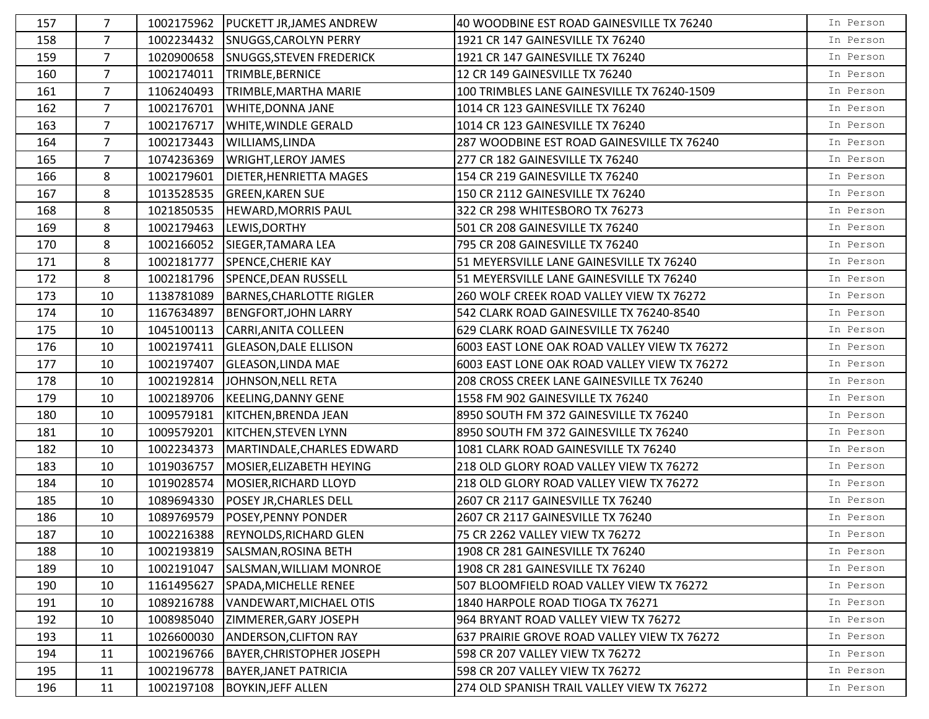| 157 | 7              | 1002175962 | <b>PUCKETT JR, JAMES ANDREW</b>   | 40 WOODBINE EST ROAD GAINESVILLE TX 76240    | In Person |
|-----|----------------|------------|-----------------------------------|----------------------------------------------|-----------|
| 158 | $\overline{7}$ | 1002234432 | SNUGGS, CAROLYN PERRY             | 1921 CR 147 GAINESVILLE TX 76240             | In Person |
| 159 | $\overline{7}$ | 1020900658 | <b>SNUGGS, STEVEN FREDERICK</b>   | 1921 CR 147 GAINESVILLE TX 76240             | In Person |
| 160 | $\overline{7}$ | 1002174011 | TRIMBLE, BERNICE                  | 12 CR 149 GAINESVILLE TX 76240               | In Person |
| 161 | $\overline{7}$ | 1106240493 | TRIMBLE, MARTHA MARIE             | 100 TRIMBLES LANE GAINESVILLE TX 76240-1509  | In Person |
| 162 | 7              | 1002176701 | <b>WHITE, DONNA JANE</b>          | 1014 CR 123 GAINESVILLE TX 76240             | In Person |
| 163 | $\overline{7}$ | 1002176717 | <b>WHITE, WINDLE GERALD</b>       | 1014 CR 123 GAINESVILLE TX 76240             | In Person |
| 164 | 7              | 1002173443 | WILLIAMS, LINDA                   | 287 WOODBINE EST ROAD GAINESVILLE TX 76240   | In Person |
| 165 | $\overline{7}$ | 1074236369 | <b>WRIGHT, LEROY JAMES</b>        | 277 CR 182 GAINESVILLE TX 76240              | In Person |
| 166 | 8              | 1002179601 | <b>DIETER, HENRIETTA MAGES</b>    | 154 CR 219 GAINESVILLE TX 76240              | In Person |
| 167 | 8              | 1013528535 | <b>GREEN, KAREN SUE</b>           | 150 CR 2112 GAINESVILLE TX 76240             | In Person |
| 168 | 8              | 1021850535 | <b>HEWARD, MORRIS PAUL</b>        | 322 CR 298 WHITESBORO TX 76273               | In Person |
| 169 | 8              | 1002179463 | LEWIS, DORTHY                     | 501 CR 208 GAINESVILLE TX 76240              | In Person |
| 170 | 8              | 1002166052 | SIEGER, TAMARA LEA                | 795 CR 208 GAINESVILLE TX 76240              | In Person |
| 171 | 8              | 1002181777 | SPENCE, CHERIE KAY                | 51 MEYERSVILLE LANE GAINESVILLE TX 76240     | In Person |
| 172 | 8              | 1002181796 | SPENCE, DEAN RUSSELL              | 51 MEYERSVILLE LANE GAINESVILLE TX 76240     | In Person |
| 173 | 10             | 1138781089 | <b>BARNES, CHARLOTTE RIGLER</b>   | 260 WOLF CREEK ROAD VALLEY VIEW TX 76272     | In Person |
| 174 | 10             | 1167634897 | <b>BENGFORT, JOHN LARRY</b>       | 542 CLARK ROAD GAINESVILLE TX 76240-8540     | In Person |
| 175 | 10             | 1045100113 | CARRI, ANITA COLLEEN              | 629 CLARK ROAD GAINESVILLE TX 76240          | In Person |
| 176 | 10             | 1002197411 | <b>GLEASON, DALE ELLISON</b>      | 6003 EAST LONE OAK ROAD VALLEY VIEW TX 76272 | In Person |
| 177 | 10             | 1002197407 | <b>GLEASON, LINDA MAE</b>         | 6003 EAST LONE OAK ROAD VALLEY VIEW TX 76272 | In Person |
| 178 | 10             | 1002192814 | JOHNSON, NELL RETA                | 208 CROSS CREEK LANE GAINESVILLE TX 76240    | In Person |
| 179 | 10             | 1002189706 | KEELING, DANNY GENE               | 1558 FM 902 GAINESVILLE TX 76240             | In Person |
| 180 | 10             | 1009579181 | KITCHEN, BRENDA JEAN              | 8950 SOUTH FM 372 GAINESVILLE TX 76240       | In Person |
| 181 | 10             | 1009579201 | KITCHEN, STEVEN LYNN              | 8950 SOUTH FM 372 GAINESVILLE TX 76240       | In Person |
| 182 | 10             | 1002234373 | MARTINDALE, CHARLES EDWARD        | 1081 CLARK ROAD GAINESVILLE TX 76240         | In Person |
| 183 | 10             | 1019036757 | MOSIER, ELIZABETH HEYING          | 218 OLD GLORY ROAD VALLEY VIEW TX 76272      | In Person |
| 184 | 10             | 1019028574 | MOSIER, RICHARD LLOYD             | 218 OLD GLORY ROAD VALLEY VIEW TX 76272      | In Person |
| 185 | 10             | 1089694330 | <b>POSEY JR, CHARLES DELL</b>     | 2607 CR 2117 GAINESVILLE TX 76240            | In Person |
| 186 | 10             | 1089769579 | <b>POSEY, PENNY PONDER</b>        | 2607 CR 2117 GAINESVILLE TX 76240            | In Person |
| 187 | 10             |            | 1002216388 REYNOLDS, RICHARD GLEN | 75 CR 2262 VALLEY VIEW TX 76272              | In Person |
| 188 | 10             | 1002193819 | SALSMAN, ROSINA BETH              | 1908 CR 281 GAINESVILLE TX 76240             | In Person |
| 189 | 10             | 1002191047 | SALSMAN, WILLIAM MONROE           | 1908 CR 281 GAINESVILLE TX 76240             | In Person |
| 190 | 10             | 1161495627 | SPADA, MICHELLE RENEE             | 507 BLOOMFIELD ROAD VALLEY VIEW TX 76272     | In Person |
| 191 | 10             | 1089216788 | VANDEWART, MICHAEL OTIS           | 1840 HARPOLE ROAD TIOGA TX 76271             | In Person |
| 192 | 10             | 1008985040 | ZIMMERER, GARY JOSEPH             | 964 BRYANT ROAD VALLEY VIEW TX 76272         | In Person |
| 193 | 11             | 1026600030 | <b>ANDERSON, CLIFTON RAY</b>      | 637 PRAIRIE GROVE ROAD VALLEY VIEW TX 76272  | In Person |
| 194 | 11             | 1002196766 | BAYER, CHRISTOPHER JOSEPH         | 598 CR 207 VALLEY VIEW TX 76272              | In Person |
| 195 | 11             | 1002196778 | <b>BAYER, JANET PATRICIA</b>      | 598 CR 207 VALLEY VIEW TX 76272              | In Person |
| 196 | 11             | 1002197108 | <b>BOYKIN, JEFF ALLEN</b>         | 274 OLD SPANISH TRAIL VALLEY VIEW TX 76272   | In Person |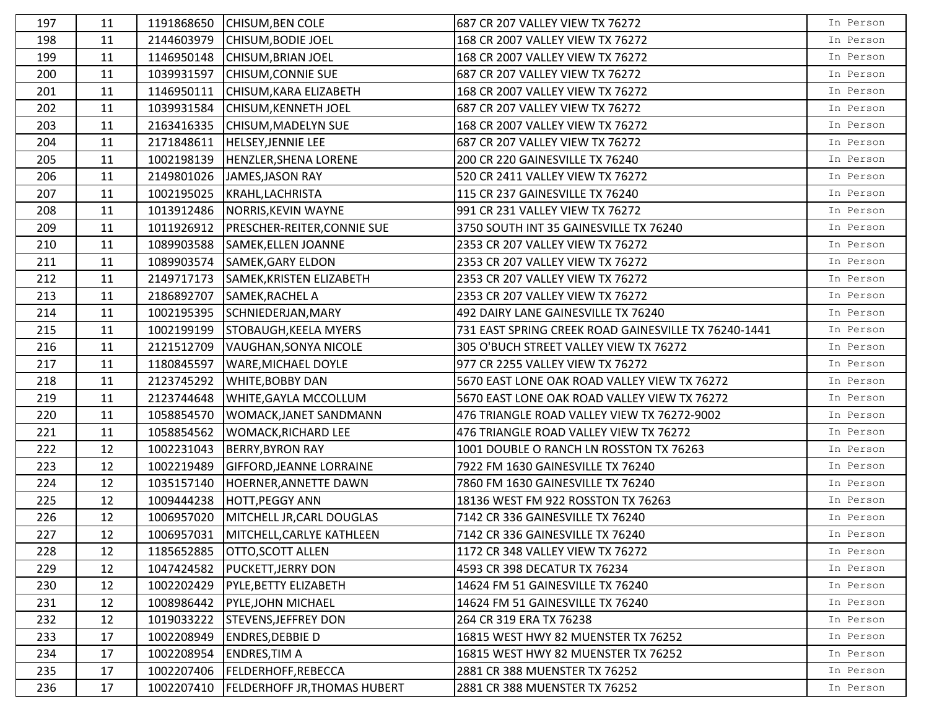| 197 | 11 | 1191868650 | <b>CHISUM, BEN COLE</b>              | 687 CR 207 VALLEY VIEW TX 76272                      | In Person |
|-----|----|------------|--------------------------------------|------------------------------------------------------|-----------|
| 198 | 11 | 2144603979 | CHISUM, BODIE JOEL                   | 168 CR 2007 VALLEY VIEW TX 76272                     | In Person |
| 199 | 11 | 1146950148 | CHISUM, BRIAN JOEL                   | 168 CR 2007 VALLEY VIEW TX 76272                     | In Person |
| 200 | 11 | 1039931597 | <b>CHISUM, CONNIE SUE</b>            | 687 CR 207 VALLEY VIEW TX 76272                      | In Person |
| 201 | 11 | 1146950111 | CHISUM, KARA ELIZABETH               | 168 CR 2007 VALLEY VIEW TX 76272                     | In Person |
| 202 | 11 | 1039931584 | <b>CHISUM, KENNETH JOEL</b>          | 687 CR 207 VALLEY VIEW TX 76272                      | In Person |
| 203 | 11 | 2163416335 | <b>CHISUM, MADELYN SUE</b>           | 168 CR 2007 VALLEY VIEW TX 76272                     | In Person |
| 204 | 11 | 2171848611 | <b>HELSEY, JENNIE LEE</b>            | 687 CR 207 VALLEY VIEW TX 76272                      | In Person |
| 205 | 11 | 1002198139 | HENZLER, SHENA LORENE                | 200 CR 220 GAINESVILLE TX 76240                      | In Person |
| 206 | 11 | 2149801026 | JAMES, JASON RAY                     | 520 CR 2411 VALLEY VIEW TX 76272                     | In Person |
| 207 | 11 | 1002195025 | KRAHL, LACHRISTA                     | 115 CR 237 GAINESVILLE TX 76240                      | In Person |
| 208 | 11 | 1013912486 | NORRIS, KEVIN WAYNE                  | 991 CR 231 VALLEY VIEW TX 76272                      | In Person |
| 209 | 11 | 1011926912 | PRESCHER-REITER, CONNIE SUE          | 3750 SOUTH INT 35 GAINESVILLE TX 76240               | In Person |
| 210 | 11 | 1089903588 | SAMEK, ELLEN JOANNE                  | 2353 CR 207 VALLEY VIEW TX 76272                     | In Person |
| 211 | 11 |            | 1089903574 SAMEK, GARY ELDON         | 2353 CR 207 VALLEY VIEW TX 76272                     | In Person |
| 212 | 11 | 2149717173 | SAMEK, KRISTEN ELIZABETH             | 2353 CR 207 VALLEY VIEW TX 76272                     | In Person |
| 213 | 11 | 2186892707 | SAMEK, RACHEL A                      | 2353 CR 207 VALLEY VIEW TX 76272                     | In Person |
| 214 | 11 | 1002195395 | SCHNIEDERJAN, MARY                   | 492 DAIRY LANE GAINESVILLE TX 76240                  | In Person |
| 215 | 11 | 1002199199 | STOBAUGH, KEELA MYERS                | 731 EAST SPRING CREEK ROAD GAINESVILLE TX 76240-1441 | In Person |
| 216 | 11 | 2121512709 | VAUGHAN, SONYA NICOLE                | 305 O'BUCH STREET VALLEY VIEW TX 76272               | In Person |
| 217 | 11 | 1180845597 | <b>WARE, MICHAEL DOYLE</b>           | 977 CR 2255 VALLEY VIEW TX 76272                     | In Person |
| 218 | 11 | 2123745292 | <b>WHITE, BOBBY DAN</b>              | 5670 EAST LONE OAK ROAD VALLEY VIEW TX 76272         | In Person |
| 219 | 11 | 2123744648 | WHITE, GAYLA MCCOLLUM                | 5670 EAST LONE OAK ROAD VALLEY VIEW TX 76272         | In Person |
| 220 | 11 | 1058854570 | WOMACK, JANET SANDMANN               | 476 TRIANGLE ROAD VALLEY VIEW TX 76272-9002          | In Person |
| 221 | 11 | 1058854562 | WOMACK, RICHARD LEE                  | 476 TRIANGLE ROAD VALLEY VIEW TX 76272               | In Person |
| 222 | 12 | 1002231043 | <b>BERRY, BYRON RAY</b>              | 1001 DOUBLE O RANCH LN ROSSTON TX 76263              | In Person |
| 223 | 12 | 1002219489 | <b>GIFFORD, JEANNE LORRAINE</b>      | 7922 FM 1630 GAINESVILLE TX 76240                    | In Person |
| 224 | 12 | 1035157140 | HOERNER, ANNETTE DAWN                | 7860 FM 1630 GAINESVILLE TX 76240                    | In Person |
| 225 | 12 | 1009444238 | <b>HOTT, PEGGY ANN</b>               | 18136 WEST FM 922 ROSSTON TX 76263                   | In Person |
| 226 | 12 | 1006957020 | MITCHELL JR, CARL DOUGLAS            | 7142 CR 336 GAINESVILLE TX 76240                     | In Person |
| 227 | 12 |            | 1006957031 MITCHELL, CARLYE KATHLEEN | 7142 CR 336 GAINESVILLE TX 76240                     | In Person |
| 228 | 12 | 1185652885 | <b>OTTO, SCOTT ALLEN</b>             | 1172 CR 348 VALLEY VIEW TX 76272                     | In Person |
| 229 | 12 | 1047424582 | <b>PUCKETT, JERRY DON</b>            | 4593 CR 398 DECATUR TX 76234                         | In Person |
| 230 | 12 | 1002202429 | PYLE, BETTY ELIZABETH                | 14624 FM 51 GAINESVILLE TX 76240                     | In Person |
| 231 | 12 | 1008986442 | PYLE, JOHN MICHAEL                   | 14624 FM 51 GAINESVILLE TX 76240                     | In Person |
| 232 | 12 | 1019033222 | <b>STEVENS, JEFFREY DON</b>          | 264 CR 319 ERA TX 76238                              | In Person |
| 233 | 17 | 1002208949 | <b>ENDRES, DEBBIE D</b>              | 16815 WEST HWY 82 MUENSTER TX 76252                  | In Person |
| 234 | 17 | 1002208954 | <b>ENDRES, TIM A</b>                 | 16815 WEST HWY 82 MUENSTER TX 76252                  | In Person |
| 235 | 17 | 1002207406 | <b>FELDERHOFF, REBECCA</b>           | 2881 CR 388 MUENSTER TX 76252                        | In Person |
| 236 | 17 | 1002207410 | <b>FELDERHOFF JR, THOMAS HUBERT</b>  | 2881 CR 388 MUENSTER TX 76252                        | In Person |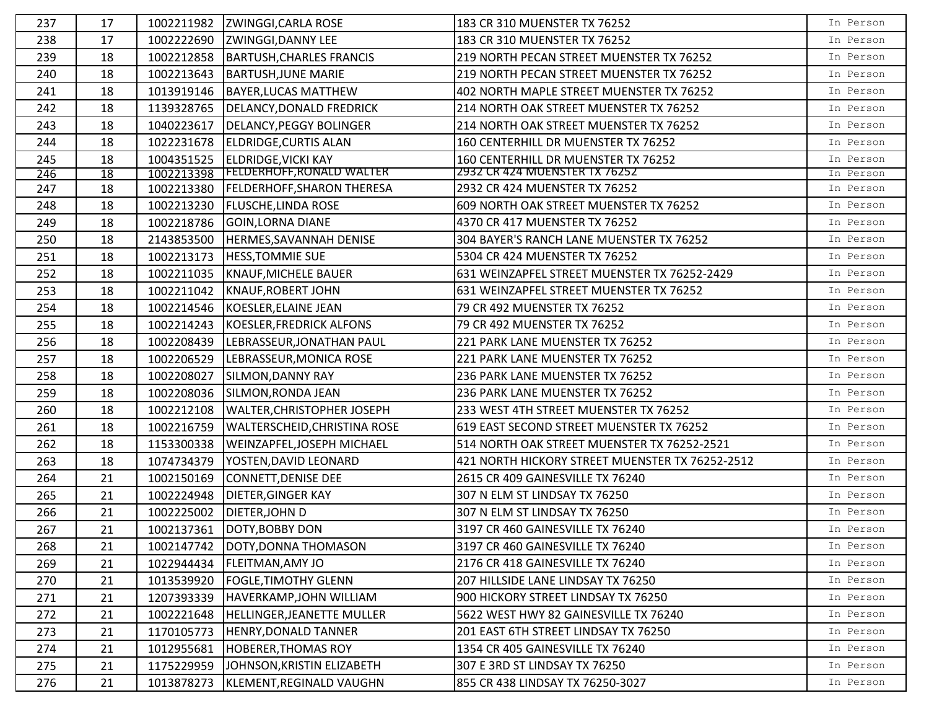| 237 | 17 | 1002211982 | <b>ZWINGGI, CARLA ROSE</b>        | 183 CR 310 MUENSTER TX 76252                    | In Person |
|-----|----|------------|-----------------------------------|-------------------------------------------------|-----------|
| 238 | 17 | 1002222690 | ZWINGGI, DANNY LEE                | 183 CR 310 MUENSTER TX 76252                    | In Person |
| 239 | 18 | 1002212858 | <b>BARTUSH, CHARLES FRANCIS</b>   | 219 NORTH PECAN STREET MUENSTER TX 76252        | In Person |
| 240 | 18 | 1002213643 | <b>BARTUSH, JUNE MARIE</b>        | 219 NORTH PECAN STREET MUENSTER TX 76252        | In Person |
| 241 | 18 | 1013919146 | <b>BAYER, LUCAS MATTHEW</b>       | 402 NORTH MAPLE STREET MUENSTER TX 76252        | In Person |
| 242 | 18 | 1139328765 | <b>DELANCY, DONALD FREDRICK</b>   | 214 NORTH OAK STREET MUENSTER TX 76252          | In Person |
| 243 | 18 | 1040223617 | <b>DELANCY, PEGGY BOLINGER</b>    | 214 NORTH OAK STREET MUENSTER TX 76252          | In Person |
| 244 | 18 | 1022231678 | <b>ELDRIDGE, CURTIS ALAN</b>      | 160 CENTERHILL DR MUENSTER TX 76252             | In Person |
| 245 | 18 | 1004351525 | <b>ELDRIDGE, VICKI KAY</b>        | 160 CENTERHILL DR MUENSTER TX 76252             | In Person |
| 246 | 18 | 1002213398 | <b>FELDERHOFF, RONALD WALTER</b>  | 2932 CR 424 MUENSTER TX 76252                   | In Person |
| 247 | 18 | 1002213380 | <b>FELDERHOFF, SHARON THERESA</b> | 2932 CR 424 MUENSTER TX 76252                   | In Person |
| 248 | 18 | 1002213230 | <b>FLUSCHE, LINDA ROSE</b>        | 609 NORTH OAK STREET MUENSTER TX 76252          | In Person |
| 249 | 18 | 1002218786 | GOIN, LORNA DIANE                 | 4370 CR 417 MUENSTER TX 76252                   | In Person |
| 250 | 18 | 2143853500 | HERMES, SAVANNAH DENISE           | 304 BAYER'S RANCH LANE MUENSTER TX 76252        | In Person |
| 251 | 18 | 1002213173 | <b>HESS, TOMMIE SUE</b>           | 5304 CR 424 MUENSTER TX 76252                   | In Person |
| 252 | 18 | 1002211035 | <b>KNAUF, MICHELE BAUER</b>       | 631 WEINZAPFEL STREET MUENSTER TX 76252-2429    | In Person |
| 253 | 18 | 1002211042 | <b>KNAUF, ROBERT JOHN</b>         | 631 WEINZAPFEL STREET MUENSTER TX 76252         | In Person |
| 254 | 18 | 1002214546 | <b>KOESLER, ELAINE JEAN</b>       | 79 CR 492 MUENSTER TX 76252                     | In Person |
| 255 | 18 | 1002214243 | KOESLER, FREDRICK ALFONS          | 79 CR 492 MUENSTER TX 76252                     | In Person |
| 256 | 18 | 1002208439 | LEBRASSEUR, JONATHAN PAUL         | 221 PARK LANE MUENSTER TX 76252                 | In Person |
| 257 | 18 | 1002206529 | LEBRASSEUR, MONICA ROSE           | 221 PARK LANE MUENSTER TX 76252                 | In Person |
| 258 | 18 | 1002208027 | SILMON, DANNY RAY                 | 236 PARK LANE MUENSTER TX 76252                 | In Person |
| 259 | 18 | 1002208036 | SILMON, RONDA JEAN                | 236 PARK LANE MUENSTER TX 76252                 | In Person |
| 260 | 18 | 1002212108 | <b>WALTER, CHRISTOPHER JOSEPH</b> | 233 WEST 4TH STREET MUENSTER TX 76252           | In Person |
| 261 | 18 | 1002216759 | WALTERSCHEID, CHRISTINA ROSE      | 619 EAST SECOND STREET MUENSTER TX 76252        | In Person |
| 262 | 18 | 1153300338 | WEINZAPFEL, JOSEPH MICHAEL        | 514 NORTH OAK STREET MUENSTER TX 76252-2521     | In Person |
| 263 | 18 | 1074734379 | YOSTEN, DAVID LEONARD             | 421 NORTH HICKORY STREET MUENSTER TX 76252-2512 | In Person |
| 264 | 21 | 1002150169 | <b>CONNETT, DENISE DEE</b>        | 2615 CR 409 GAINESVILLE TX 76240                | In Person |
| 265 | 21 | 1002224948 | <b>DIETER, GINGER KAY</b>         | 307 N ELM ST LINDSAY TX 76250                   | In Person |
| 266 | 21 | 1002225002 | DIETER, JOHN D                    | 307 N ELM ST LINDSAY TX 76250                   | In Person |
| 267 | 21 | 1002137361 | DOTY, BOBBY DON                   | 3197 CR 460 GAINESVILLE TX 76240                | In Person |
| 268 | 21 | 1002147742 | DOTY, DONNA THOMASON              | 3197 CR 460 GAINESVILLE TX 76240                | In Person |
| 269 | 21 | 1022944434 | <b>FLEITMAN, AMY JO</b>           | 2176 CR 418 GAINESVILLE TX 76240                | In Person |
| 270 | 21 | 1013539920 | <b>FOGLE, TIMOTHY GLENN</b>       | 207 HILLSIDE LANE LINDSAY TX 76250              | In Person |
| 271 | 21 | 1207393339 | HAVERKAMP, JOHN WILLIAM           | 900 HICKORY STREET LINDSAY TX 76250             | In Person |
| 272 | 21 | 1002221648 | HELLINGER, JEANETTE MULLER        | 5622 WEST HWY 82 GAINESVILLE TX 76240           | In Person |
| 273 | 21 | 1170105773 | HENRY, DONALD TANNER              | 201 EAST 6TH STREET LINDSAY TX 76250            | In Person |
| 274 | 21 | 1012955681 | <b>HOBERER, THOMAS ROY</b>        | 1354 CR 405 GAINESVILLE TX 76240                | In Person |
| 275 | 21 | 1175229959 | JOHNSON, KRISTIN ELIZABETH        | 307 E 3RD ST LINDSAY TX 76250                   | In Person |
| 276 | 21 | 1013878273 | KLEMENT, REGINALD VAUGHN          | 855 CR 438 LINDSAY TX 76250-3027                | In Person |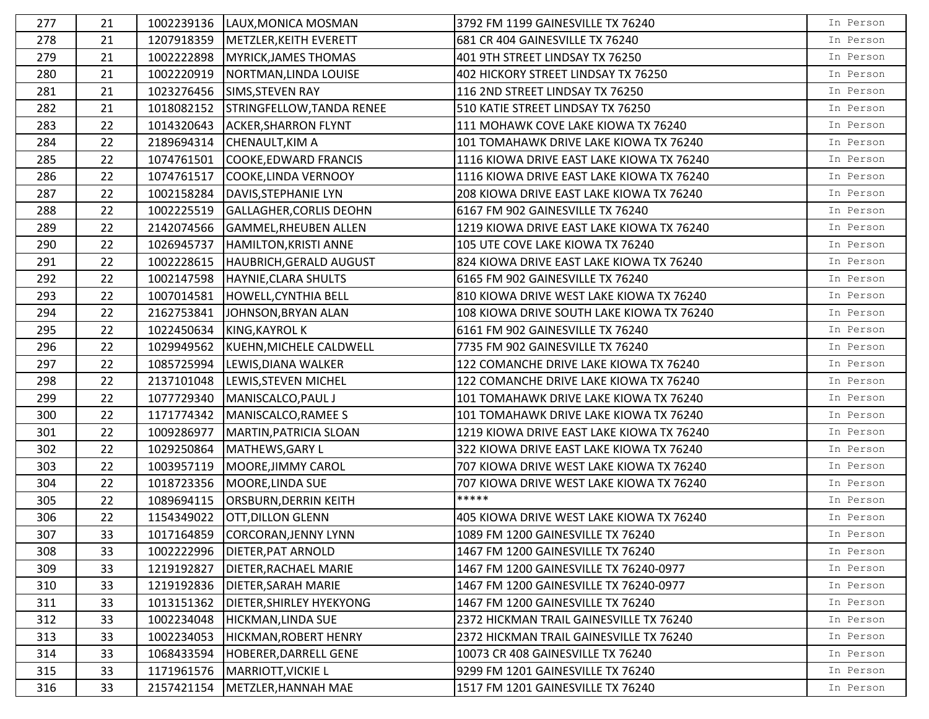| 277 | 21 |            | 1002239136  LAUX, MONICA MOSMAN   | 3792 FM 1199 GAINESVILLE TX 76240         | In Person |
|-----|----|------------|-----------------------------------|-------------------------------------------|-----------|
| 278 | 21 | 1207918359 | METZLER, KEITH EVERETT            | 681 CR 404 GAINESVILLE TX 76240           | In Person |
| 279 | 21 | 1002222898 | MYRICK, JAMES THOMAS              | 401 9TH STREET LINDSAY TX 76250           | In Person |
| 280 | 21 | 1002220919 | NORTMAN, LINDA LOUISE             | 402 HICKORY STREET LINDSAY TX 76250       | In Person |
| 281 | 21 | 1023276456 | SIMS, STEVEN RAY                  | 116 2ND STREET LINDSAY TX 76250           | In Person |
| 282 | 21 | 1018082152 | STRINGFELLOW, TANDA RENEE         | 510 KATIE STREET LINDSAY TX 76250         | In Person |
| 283 | 22 | 1014320643 | <b>ACKER, SHARRON FLYNT</b>       | 111 MOHAWK COVE LAKE KIOWA TX 76240       | In Person |
| 284 | 22 | 2189694314 | CHENAULT, KIM A                   | 101 TOMAHAWK DRIVE LAKE KIOWA TX 76240    | In Person |
| 285 | 22 | 1074761501 | COOKE, EDWARD FRANCIS             | 1116 KIOWA DRIVE EAST LAKE KIOWA TX 76240 | In Person |
| 286 | 22 | 1074761517 | COOKE, LINDA VERNOOY              | 1116 KIOWA DRIVE EAST LAKE KIOWA TX 76240 | In Person |
| 287 | 22 |            | 1002158284   DAVIS, STEPHANIE LYN | 208 KIOWA DRIVE EAST LAKE KIOWA TX 76240  | In Person |
| 288 | 22 | 1002225519 | <b>GALLAGHER, CORLIS DEOHN</b>    | 6167 FM 902 GAINESVILLE TX 76240          | In Person |
| 289 | 22 | 2142074566 | <b>GAMMEL, RHEUBEN ALLEN</b>      | 1219 KIOWA DRIVE EAST LAKE KIOWA TX 76240 | In Person |
| 290 | 22 | 1026945737 | HAMILTON, KRISTI ANNE             | 105 UTE COVE LAKE KIOWA TX 76240          | In Person |
| 291 | 22 | 1002228615 | HAUBRICH, GERALD AUGUST           | 824 KIOWA DRIVE EAST LAKE KIOWA TX 76240  | In Person |
| 292 | 22 | 1002147598 | HAYNIE, CLARA SHULTS              | 6165 FM 902 GAINESVILLE TX 76240          | In Person |
| 293 | 22 | 1007014581 | HOWELL, CYNTHIA BELL              | 810 KIOWA DRIVE WEST LAKE KIOWA TX 76240  | In Person |
| 294 | 22 | 2162753841 | JOHNSON, BRYAN ALAN               | 108 KIOWA DRIVE SOUTH LAKE KIOWA TX 76240 | In Person |
| 295 | 22 | 1022450634 | KING, KAYROL K                    | 6161 FM 902 GAINESVILLE TX 76240          | In Person |
| 296 | 22 | 1029949562 | KUEHN, MICHELE CALDWELL           | 7735 FM 902 GAINESVILLE TX 76240          | In Person |
| 297 | 22 |            | 1085725994 LEWIS, DIANA WALKER    | 122 COMANCHE DRIVE LAKE KIOWA TX 76240    | In Person |
| 298 | 22 | 2137101048 | <b>LEWIS, STEVEN MICHEL</b>       | 122 COMANCHE DRIVE LAKE KIOWA TX 76240    | In Person |
| 299 | 22 | 1077729340 | MANISCALCO, PAUL J                | 101 TOMAHAWK DRIVE LAKE KIOWA TX 76240    | In Person |
| 300 | 22 | 1171774342 | MANISCALCO, RAMEE S               | 101 TOMAHAWK DRIVE LAKE KIOWA TX 76240    | In Person |
| 301 | 22 | 1009286977 | MARTIN, PATRICIA SLOAN            | 1219 KIOWA DRIVE EAST LAKE KIOWA TX 76240 | In Person |
| 302 | 22 | 1029250864 | MATHEWS, GARY L                   | 322 KIOWA DRIVE EAST LAKE KIOWA TX 76240  | In Person |
| 303 | 22 | 1003957119 | MOORE, JIMMY CAROL                | 707 KIOWA DRIVE WEST LAKE KIOWA TX 76240  | In Person |
| 304 | 22 | 1018723356 | MOORE, LINDA SUE                  | 707 KIOWA DRIVE WEST LAKE KIOWA TX 76240  | In Person |
| 305 | 22 | 1089694115 | <b>ORSBURN, DERRIN KEITH</b>      | *****                                     | In Person |
| 306 | 22 | 1154349022 | <b>OTT, DILLON GLENN</b>          | 405 KIOWA DRIVE WEST LAKE KIOWA TX 76240  | In Person |
| 307 | 33 |            | 1017164859 CORCORAN, JENNY LYNN   | 1089 FM 1200 GAINESVILLE TX 76240         | In Person |
| 308 | 33 | 1002222996 | <b>DIETER, PAT ARNOLD</b>         | 1467 FM 1200 GAINESVILLE TX 76240         | In Person |
| 309 | 33 | 1219192827 | DIETER, RACHAEL MARIE             | 1467 FM 1200 GAINESVILLE TX 76240-0977    | In Person |
| 310 | 33 | 1219192836 | <b>DIETER, SARAH MARIE</b>        | 1467 FM 1200 GAINESVILLE TX 76240-0977    | In Person |
| 311 | 33 | 1013151362 | DIETER, SHIRLEY HYEKYONG          | 1467 FM 1200 GAINESVILLE TX 76240         | In Person |
| 312 | 33 | 1002234048 | <b>HICKMAN, LINDA SUE</b>         | 2372 HICKMAN TRAIL GAINESVILLE TX 76240   | In Person |
| 313 | 33 | 1002234053 | <b>HICKMAN, ROBERT HENRY</b>      | 2372 HICKMAN TRAIL GAINESVILLE TX 76240   | In Person |
| 314 | 33 | 1068433594 | HOBERER, DARRELL GENE             | 10073 CR 408 GAINESVILLE TX 76240         | In Person |
| 315 | 33 | 1171961576 | <b>MARRIOTT, VICKIE L</b>         | 9299 FM 1201 GAINESVILLE TX 76240         | In Person |
| 316 | 33 | 2157421154 | METZLER, HANNAH MAE               | 1517 FM 1201 GAINESVILLE TX 76240         | In Person |